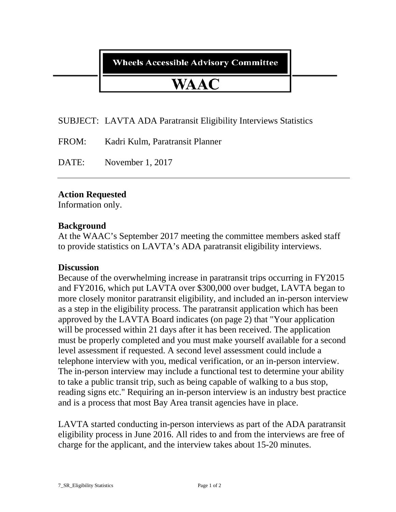**Wheels Accessible Advisory Committee** 

# WAAC

## SUBJECT: LAVTA ADA Paratransit Eligibility Interviews Statistics

FROM: Kadri Kulm, Paratransit Planner

DATE: November 1, 2017

## **Action Requested**

Information only.

#### **Background**

At the WAAC's September 2017 meeting the committee members asked staff to provide statistics on LAVTA's ADA paratransit eligibility interviews.

## **Discussion**

Because of the overwhelming increase in paratransit trips occurring in FY2015 and FY2016, which put LAVTA over \$300,000 over budget, LAVTA began to more closely monitor paratransit eligibility, and included an in-person interview as a step in the eligibility process. The paratransit application which has been approved by the LAVTA Board indicates (on page 2) that "Your application will be processed within 21 days after it has been received. The application must be properly completed and you must make yourself available for a second level assessment if requested. A second level assessment could include a telephone interview with you, medical verification, or an in-person interview. The in-person interview may include a functional test to determine your ability to take a public transit trip, such as being capable of walking to a bus stop, reading signs etc." Requiring an in-person interview is an industry best practice and is a process that most Bay Area transit agencies have in place.

LAVTA started conducting in-person interviews as part of the ADA paratransit eligibility process in June 2016. All rides to and from the interviews are free of charge for the applicant, and the interview takes about 15-20 minutes.